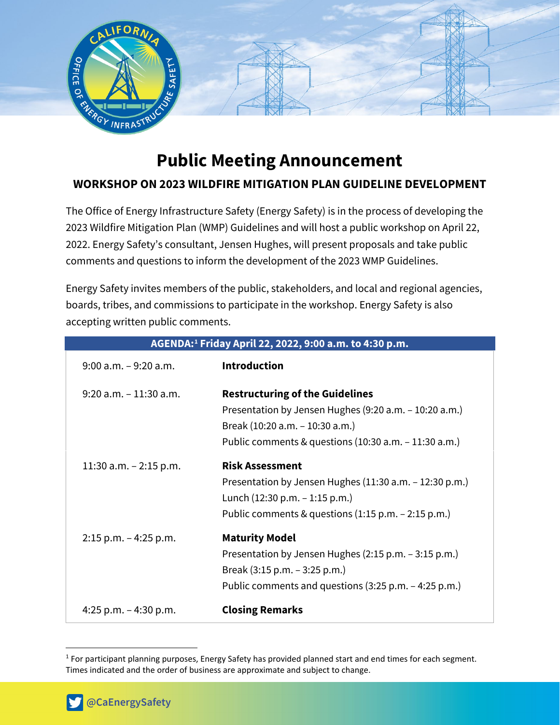

# **Public Meeting Announcement**

# **WORKSHOP ON 2023 WILDFIRE MITIGATION PLAN GUIDELINE DEVELOPMENT**

The Office of Energy Infrastructure Safety (Energy Safety) is in the process of developing the 2023 Wildfire Mitigation Plan (WMP) Guidelines and will host a public workshop on April 22, 2022. Energy Safety's consultant, Jensen Hughes, will present proposals and take public comments and questions to inform the development of the 2023 WMP Guidelines.

Energy Safety invites members of the public, stakeholders, and local and regional agencies, boards, tribes, and commissions to participate in the workshop. Energy Safety is also accepting written public comments.

| AGENDA: <sup>1</sup> Friday April 22, 2022, 9:00 a.m. to 4:30 p.m. |                                                                                                                                                                                                |
|--------------------------------------------------------------------|------------------------------------------------------------------------------------------------------------------------------------------------------------------------------------------------|
| $9:00$ a.m. $-9:20$ a.m.                                           | <b>Introduction</b>                                                                                                                                                                            |
| $9:20$ a.m. $-11:30$ a.m.                                          | <b>Restructuring of the Guidelines</b><br>Presentation by Jensen Hughes (9:20 a.m. - 10:20 a.m.)<br>Break (10:20 a.m. - 10:30 a.m.)<br>Public comments & questions $(10:30 a.m. - 11:30 a.m.)$ |
| 11:30 a.m. $-$ 2:15 p.m.                                           | <b>Risk Assessment</b><br>Presentation by Jensen Hughes (11:30 a.m. - 12:30 p.m.)<br>Lunch $(12:30 p.m. - 1:15 p.m.)$<br>Public comments & questions $(1:15 \text{ p.m.} - 2:15 \text{ p.m.})$ |
| $2:15$ p.m. $-4:25$ p.m.                                           | <b>Maturity Model</b><br>Presentation by Jensen Hughes (2:15 p.m. - 3:15 p.m.)<br>Break (3:15 p.m. – 3:25 p.m.)<br>Public comments and questions (3:25 p.m. – 4:25 p.m.)                       |
| 4:25 p.m. $-$ 4:30 p.m.                                            | <b>Closing Remarks</b>                                                                                                                                                                         |

<span id="page-0-0"></span><sup>1</sup> For participant planning purposes, Energy Safety has provided planned start and end times for each segment. Times indicated and the order of business are approximate and subject to change.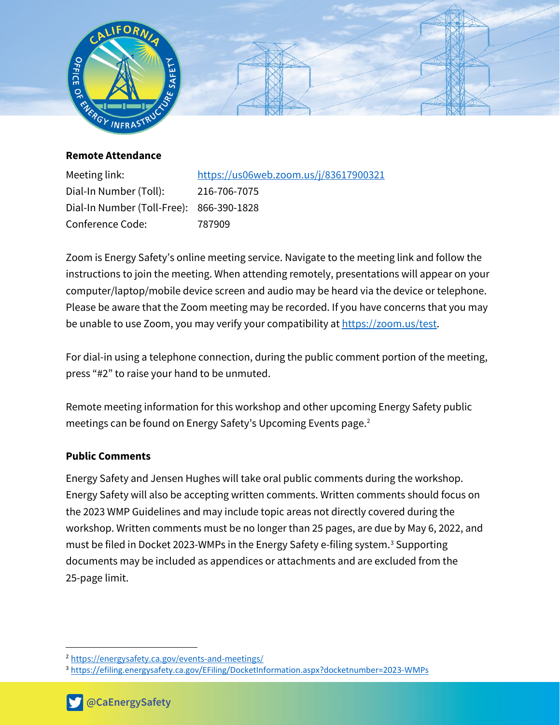

**Remote Attendance**

Dial-In Number (Toll): 216-706-7075 Dial-In Number (Toll-Free): 866-390-1828 Conference Code: 787909

Meeting link: <https://us06web.zoom.us/j/83617900321>

Zoom is Energy Safety's online meeting service. Navigate to the meeting link and follow the instructions to join the meeting. When attending remotely, presentations will appear on your computer/laptop/mobile device screen and audio may be heard via the device or telephone. Please be aware that the Zoom meeting may be recorded. If you have concerns that you may be unable to use Zoom, you may verify your compatibility at [https://zoom.us/test.](https://zoom.us/test)

For dial-in using a telephone connection, during the public comment portion of the meeting, press "#2" to raise your hand to be unmuted.

Remote meeting information for this workshop and other upcoming Energy Safety public meetings can be found on Energy Safety's Upcoming Events page.<sup>[2](#page-1-0)</sup>

## **Public Comments**

Energy Safety and Jensen Hughes will take oral public comments during the workshop. Energy Safety will also be accepting written comments. Written comments should focus on the 2023 WMP Guidelines and may include topic areas not directly covered during the workshop. Written comments must be no longer than 25 pages, are due by May 6, 2022, and must be filed in Docket 202[3](#page-1-1)-WMPs in the Energy Safety e-filing system.<sup>3</sup> Supporting documents may be included as appendices or attachments and are excluded from the 25-page limit.

<span id="page-1-0"></span><sup>2</sup> <https://energysafety.ca.gov/events-and-meetings/>

<span id="page-1-1"></span><sup>3</sup> <https://efiling.energysafety.ca.gov/EFiling/DocketInformation.aspx?docketnumber=2023-WMPs>